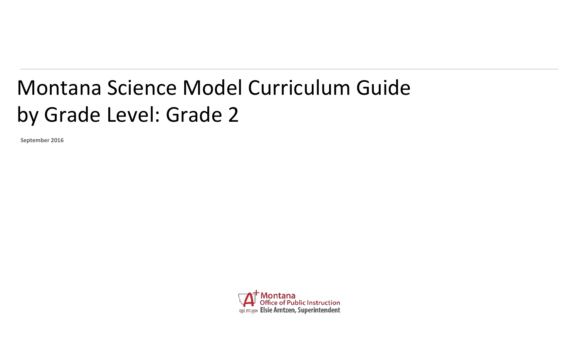## Montana Science Model Curriculum Guide by Grade Level: Grade 2

**September 2016**

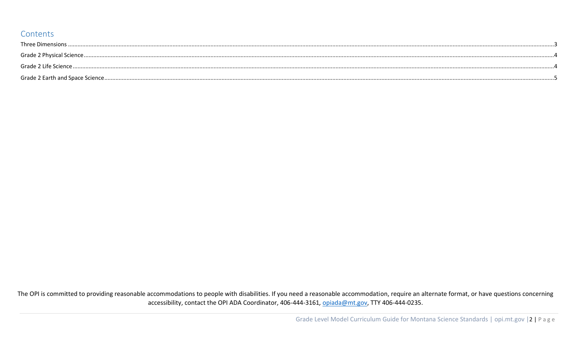## Contents

The OPI is committed to providing reasonable accommodations to people with disabilities. If you need a reasonable accommodation, require an alternate format, or have questions concerning accessibility, contact the OPI ADA Coordinator, 406-444-3161, opiada@mt.gov, TTY 406-444-0235.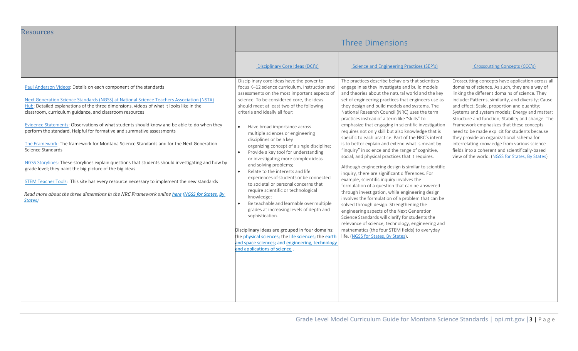<span id="page-2-0"></span>

| <b>Resources</b>                                                                                                                                                                                                                                                                                                                                                                                                                                                                                                                                                                                                                                                                                                     | <b>Three Dimensions</b>                                                                                                                                                                                                                                                                                                                                                                                                                                                                                                                                                                                                                                                                                                                                                                                                      |                                                                                                                                                                                                                                                                                                                                                                                                                                                                                                                                                                                                                                                                                                                                                                                                                                                                                                                                                                                                                                           |                                                                                                                                                                                                                                                                                                                                                                                                    |  |
|----------------------------------------------------------------------------------------------------------------------------------------------------------------------------------------------------------------------------------------------------------------------------------------------------------------------------------------------------------------------------------------------------------------------------------------------------------------------------------------------------------------------------------------------------------------------------------------------------------------------------------------------------------------------------------------------------------------------|------------------------------------------------------------------------------------------------------------------------------------------------------------------------------------------------------------------------------------------------------------------------------------------------------------------------------------------------------------------------------------------------------------------------------------------------------------------------------------------------------------------------------------------------------------------------------------------------------------------------------------------------------------------------------------------------------------------------------------------------------------------------------------------------------------------------------|-------------------------------------------------------------------------------------------------------------------------------------------------------------------------------------------------------------------------------------------------------------------------------------------------------------------------------------------------------------------------------------------------------------------------------------------------------------------------------------------------------------------------------------------------------------------------------------------------------------------------------------------------------------------------------------------------------------------------------------------------------------------------------------------------------------------------------------------------------------------------------------------------------------------------------------------------------------------------------------------------------------------------------------------|----------------------------------------------------------------------------------------------------------------------------------------------------------------------------------------------------------------------------------------------------------------------------------------------------------------------------------------------------------------------------------------------------|--|
| Paul Anderson Videos: Details on each component of the standards<br>Next Generation Science Standards (NGSS) at National Science Teachers Association (NSTA)<br>Hub: Detailed explanations of the three dimensions, videos of what it looks like in the                                                                                                                                                                                                                                                                                                                                                                                                                                                              | Disciplinary Core Ideas (DCI's)<br>Disciplinary core ideas have the power to<br>focus K-12 science curriculum, instruction and<br>assessments on the most important aspects of<br>science. To be considered core, the ideas<br>should meet at least two of the following                                                                                                                                                                                                                                                                                                                                                                                                                                                                                                                                                     | Science and Engineering Practices (SEP's)<br>The practices describe behaviors that scientists<br>engage in as they investigate and build models<br>and theories about the natural world and the key<br>set of engineering practices that engineers use as<br>they design and build models and systems. The                                                                                                                                                                                                                                                                                                                                                                                                                                                                                                                                                                                                                                                                                                                                | Crosscutting Concepts (CCC's)<br>Crosscutting concepts have application across all<br>domains of science. As such, they are a way of<br>linking the different domains of science. They<br>include: Patterns, similarity, and diversity; Cause<br>and effect; Scale, proportion and quantity;                                                                                                       |  |
| classroom, curriculum guidance, and classroom resources<br>Evidence Statements: Observations of what students should know and be able to do when they<br>perform the standard. Helpful for formative and summative assessments<br>The Framework: The framework for Montana Science Standards and for the Next Generation<br>Science Standards<br>NGSS Storylines: These storylines explain questions that students should investigating and how by<br>grade level; they paint the big picture of the big ideas<br>STEM Teacher Tools: This site has every resource necessary to implement the new standards<br>Read more about the three dimensions in the NRC Framework online here (NGSS for States, By<br>States) | criteria and ideally all four:<br>Have broad importance across<br>$\bullet$<br>multiple sciences or engineering<br>disciplines or be a key<br>organizing concept of a single discipline;<br>Provide a key tool for understanding<br>$\bullet$<br>or investigating more complex ideas<br>and solving problems;<br>Relate to the interests and life<br>$\bullet$<br>experiences of students or be connected<br>to societal or personal concerns that<br>require scientific or technological<br>knowledge;<br>Be teachable and learnable over multiple<br>$\bullet$<br>grades at increasing levels of depth and<br>sophistication.<br>Disciplinary ideas are grouped in four domains:<br>the physical sciences; the life sciences; the earth<br>and space sciences; and engineering, technology<br>and applications of science. | National Research Council (NRC) uses the term<br>practices instead of a term like "skills" to<br>emphasize that engaging in scientific investigation<br>requires not only skill but also knowledge that is<br>specific to each practice. Part of the NRC's intent<br>is to better explain and extend what is meant by<br>"inquiry" in science and the range of cognitive,<br>social, and physical practices that it requires.<br>Although engineering design is similar to scientific<br>inquiry, there are significant differences. For<br>example, scientific inquiry involves the<br>formulation of a question that can be answered<br>through investigation, while engineering design<br>involves the formulation of a problem that can be<br>solved through design. Strengthening the<br>engineering aspects of the Next Generation<br>Science Standards will clarify for students the<br>relevance of science, technology, engineering and<br>mathematics (the four STEM fields) to everyday<br>life. (NGSS for States, By States). | Systems and system models; Energy and matter;<br>Structure and function; Stability and change. The<br>Framework emphasizes that these concepts<br>need to be made explicit for students because<br>they provide an organizational schema for<br>interrelating knowledge from various science<br>fields into a coherent and scientifically-based<br>view of the world. (NGSS for States, By States) |  |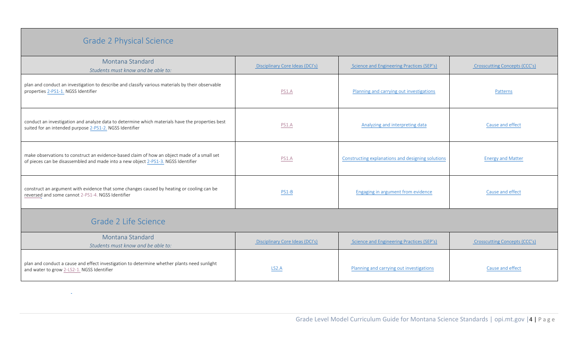## Grade 2 Physical Science

<span id="page-3-1"></span> $\Delta \sim 1$ 

<span id="page-3-0"></span>

| Montana Standard<br>Students must know and be able to:                                                                                                                           | Disciplinary Core Ideas (DCI's) | Science and Engineering Practices (SEP's)         | Crosscutting Concepts (CCC's) |  |  |  |
|----------------------------------------------------------------------------------------------------------------------------------------------------------------------------------|---------------------------------|---------------------------------------------------|-------------------------------|--|--|--|
| plan and conduct an investigation to describe and classify various materials by their observable<br>properties 2-PS1-1. NGSS Identifier                                          | PS1.A                           | Planning and carrying out investigations          | Patterns                      |  |  |  |
| conduct an investigation and analyze data to determine which materials have the properties best<br>suited for an intended purpose 2-PS1-2. NGSS Identifier                       | PS1.A                           | Analyzing and interpreting data                   | Cause and effect              |  |  |  |
| make observations to construct an evidence-based claim of how an object made of a small set<br>of pieces can be disassembled and made into a new object 2-PS1-3. NGSS Identifier | PS1.A                           | Constructing explanations and designing solutions | <b>Energy and Matter</b>      |  |  |  |
| construct an argument with evidence that some changes caused by heating or cooling can be<br>reversed and some cannot 2-PS1-4. NGSS Identifier                                   | PS1-B                           | Engaging in argument from evidence                | Cause and effect              |  |  |  |
| Grade 2 Life Science                                                                                                                                                             |                                 |                                                   |                               |  |  |  |
| Montana Standard<br>Students must know and be able to:                                                                                                                           | Disciplinary Core Ideas (DCI's) | Science and Engineering Practices (SEP's)         | Crosscutting Concepts (CCC's) |  |  |  |
| plan and conduct a cause and effect investigation to determine whether plants need sunlight<br>and water to grow 2-LS2-1. NGSS Identifier                                        | LS <sub>2</sub> .A              | Planning and carrying out investigations          | Cause and effect              |  |  |  |